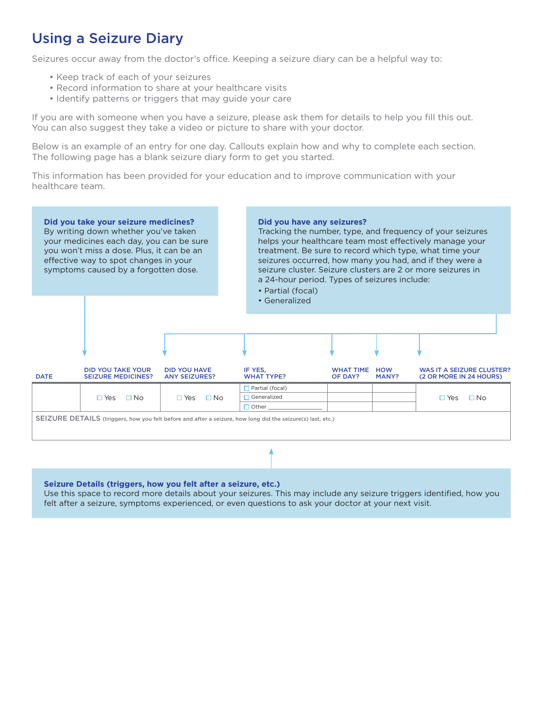## Using a Seizure Diary

Seizures occur away from the doctor's office. Keeping a seizure diary can be a helpful way to:

- Keep track of each of your seizures
- Record information to share at your healthcare visits
- Identify patterns or triggers that may guide your care

If you are with someone when you have a seizure, please ask them for details to help you fill this out. You can also suggest they take a video or picture to share with your doctor.

Below is an example of an entry for one day. Callouts explain how and why to complete each section. The following page has a blank seizure diary form to get you started.

This information has been provided for your education and to improve communication with your healthcare team.



**Seizure Details (triggers, how you felt after a seizure, etc.)** 

Use this space to record more details about your seizures. This may include any seizure triggers identified, how you felt after a seizure, symptoms experienced, or even questions to ask your doctor at your next visit.